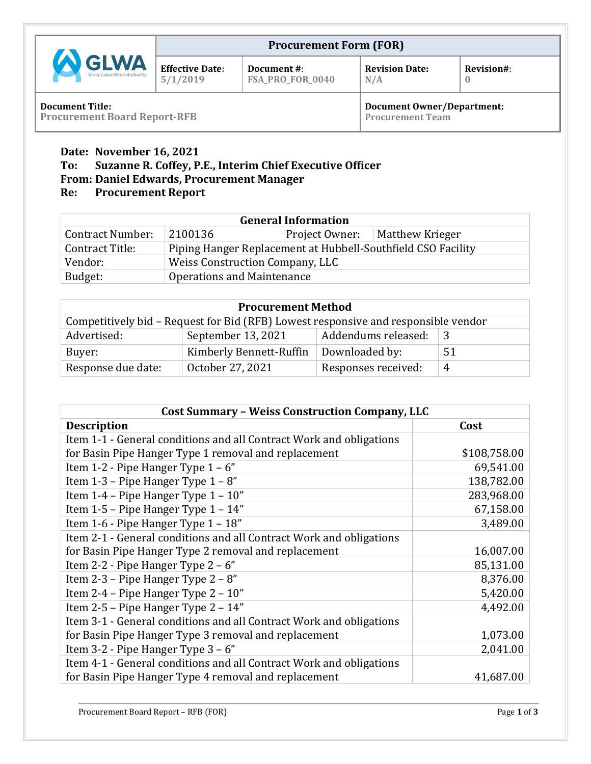| <b>A</b> GLWA<br>Great Lakes Water Authority | <b>Procurement Form (FOR)</b>      |                                 |                              |            |
|----------------------------------------------|------------------------------------|---------------------------------|------------------------------|------------|
|                                              | <b>Effective Date:</b><br>5/1/2019 | Document #:<br>FSA_PRO_FOR_0040 | <b>Revision Date:</b><br>N/A | Revision#: |
| <b>Document Title</b>                        |                                    |                                 | Document Owner/Denartment    |            |

**Document Title: Procurement Board Report-RFB**

**Document Owner/Department: Procurement Team**

# **Date: November 16, 2021**

## **To: Suzanne R. Coffey, P.E., Interim Chief Executive Officer**

# **From: Daniel Edwards, Procurement Manager**

# **Re: Procurement Report**

| <b>General Information</b> |                                                              |                |                        |  |  |
|----------------------------|--------------------------------------------------------------|----------------|------------------------|--|--|
| <b>Contract Number:</b>    | 2100136                                                      | Project Owner: | <b>Matthew Krieger</b> |  |  |
| Contract Title:            | Piping Hanger Replacement at Hubbell-Southfield CSO Facility |                |                        |  |  |
| Vendor:                    | Weiss Construction Company, LLC                              |                |                        |  |  |
| Budget:                    | Operations and Maintenance                                   |                |                        |  |  |

| <b>Procurement Method</b>                                                          |                         |                     |    |  |  |  |
|------------------------------------------------------------------------------------|-------------------------|---------------------|----|--|--|--|
| Competitively bid - Request for Bid (RFB) Lowest responsive and responsible vendor |                         |                     |    |  |  |  |
| Advertised:                                                                        | September 13, 2021      |                     |    |  |  |  |
| Buyer:                                                                             | Kimberly Bennett-Ruffin | Downloaded by:      | 51 |  |  |  |
| Response due date:                                                                 | October 27, 2021        | Responses received: | 4  |  |  |  |

| <b>Cost Summary - Weiss Construction Company, LLC</b>               |              |  |  |  |
|---------------------------------------------------------------------|--------------|--|--|--|
| <b>Description</b>                                                  | Cost         |  |  |  |
| Item 1-1 - General conditions and all Contract Work and obligations |              |  |  |  |
| for Basin Pipe Hanger Type 1 removal and replacement                | \$108,758.00 |  |  |  |
| Item 1-2 - Pipe Hanger Type $1 - 6$ "                               | 69,541.00    |  |  |  |
| Item 1-3 – Pipe Hanger Type $1 - 8$ "                               | 138,782.00   |  |  |  |
| Item 1-4 – Pipe Hanger Type $1 - 10$ "                              | 283,968.00   |  |  |  |
| Item $1-5$ – Pipe Hanger Type $1 - 14$ "                            | 67,158.00    |  |  |  |
| Item 1-6 - Pipe Hanger Type 1 - 18"                                 | 3,489.00     |  |  |  |
| Item 2-1 - General conditions and all Contract Work and obligations |              |  |  |  |
| for Basin Pipe Hanger Type 2 removal and replacement                | 16,007.00    |  |  |  |
| Item 2-2 - Pipe Hanger Type 2 - 6"                                  | 85,131.00    |  |  |  |
| Item 2-3 – Pipe Hanger Type $2 - 8$ "                               | 8,376.00     |  |  |  |
| Item 2-4 - Pipe Hanger Type 2 - 10"                                 | 5,420.00     |  |  |  |
| Item 2-5 - Pipe Hanger Type 2 - 14"                                 | 4,492.00     |  |  |  |
| Item 3-1 - General conditions and all Contract Work and obligations |              |  |  |  |
| for Basin Pipe Hanger Type 3 removal and replacement                | 1,073.00     |  |  |  |
| Item 3-2 - Pipe Hanger Type $3 - 6$ "                               | 2,041.00     |  |  |  |
| Item 4-1 - General conditions and all Contract Work and obligations |              |  |  |  |
| for Basin Pipe Hanger Type 4 removal and replacement                | 41,687.00    |  |  |  |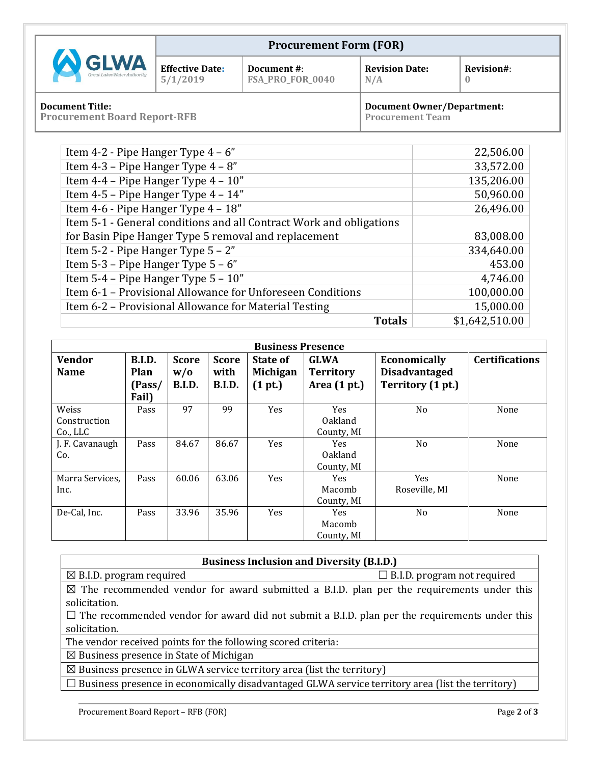| <b>A GLWA</b><br>Great Lakes Water Authority                  | <b>Procurement Form (FOR)</b>      |                                 |                                                              |            |
|---------------------------------------------------------------|------------------------------------|---------------------------------|--------------------------------------------------------------|------------|
|                                                               | <b>Effective Date:</b><br>5/1/2019 | Document #:<br>FSA_PRO_FOR_0040 | <b>Revision Date:</b><br>N/A                                 | Revision#: |
| <b>Document Title:</b><br><b>Procurement Board Report-RFB</b> |                                    |                                 | <b>Document Owner/Department:</b><br><b>Procurement Team</b> |            |

**Procurement Team**

| Item 4-2 - Pipe Hanger Type $4 - 6$ "                               | 22,506.00      |
|---------------------------------------------------------------------|----------------|
| Item 4-3 – Pipe Hanger Type $4 - 8$ "                               | 33,572.00      |
| Item 4-4 - Pipe Hanger Type 4 - 10"                                 | 135,206.00     |
| Item 4-5 - Pipe Hanger Type 4 - 14"                                 | 50,960.00      |
| Item 4-6 - Pipe Hanger Type 4 - 18"                                 | 26,496.00      |
| Item 5-1 - General conditions and all Contract Work and obligations |                |
| for Basin Pipe Hanger Type 5 removal and replacement                | 83,008.00      |
| Item $5-2$ - Pipe Hanger Type $5 - 2$ "                             | 334,640.00     |
| Item 5-3 – Pipe Hanger Type $5 - 6$ "                               | 453.00         |
| Item $5-4$ – Pipe Hanger Type $5 - 10$ "                            | 4,746.00       |
| Item 6-1 - Provisional Allowance for Unforeseen Conditions          | 100,000.00     |
| Item 6-2 – Provisional Allowance for Material Testing               | 15,000.00      |
| <b>Totals</b>                                                       | \$1,642,510.00 |

| <b>Business Presence</b> |                       |                      |                       |                            |                                    |                                           |                       |
|--------------------------|-----------------------|----------------------|-----------------------|----------------------------|------------------------------------|-------------------------------------------|-----------------------|
| <b>Vendor</b>            | B.I.D.                | <b>Score</b>         | <b>Score</b>          | State of                   | <b>GLWA</b>                        | Economically                              | <b>Certifications</b> |
| <b>Name</b>              | <b>Plan</b><br>(Pass/ | W/0<br><b>B.I.D.</b> | with<br><b>B.I.D.</b> | <b>Michigan</b><br>(1 pt.) | <b>Territory</b><br>Area $(1 pt.)$ | <b>Disadvantaged</b><br>Territory (1 pt.) |                       |
|                          | Fail)                 |                      |                       |                            |                                    |                                           |                       |
| Weiss                    | Pass                  | 97                   | 99                    | <b>Yes</b>                 | <b>Yes</b>                         | N <sub>o</sub>                            | None                  |
| Construction             |                       |                      |                       |                            | <b>Oakland</b>                     |                                           |                       |
| Co., LLC                 |                       |                      |                       |                            | County, MI                         |                                           |                       |
| J. F. Cavanaugh          | Pass                  | 84.67                | 86.67                 | Yes                        | <b>Yes</b>                         | N <sub>o</sub>                            | None                  |
| Co.                      |                       |                      |                       |                            | <b>Oakland</b>                     |                                           |                       |
|                          |                       |                      |                       |                            | County, MI                         |                                           |                       |
| Marra Services,          | Pass                  | 60.06                | 63.06                 | <b>Yes</b>                 | <b>Yes</b>                         | <b>Yes</b>                                | None                  |
| Inc.                     |                       |                      |                       |                            | Macomb                             | Roseville, MI                             |                       |
|                          |                       |                      |                       |                            | County, MI                         |                                           |                       |
| De-Cal, Inc.             | Pass                  | 33.96                | 35.96                 | Yes                        | Yes                                | N <sub>o</sub>                            | None                  |
|                          |                       |                      |                       |                            | Macomb                             |                                           |                       |
|                          |                       |                      |                       |                            | County, MI                         |                                           |                       |

| <b>Business Inclusion and Diversity (B.I.D.)</b>                                                     |                                    |  |  |  |
|------------------------------------------------------------------------------------------------------|------------------------------------|--|--|--|
| $\boxtimes$ B.I.D. program required                                                                  | $\Box$ B.I.D. program not required |  |  |  |
| $\boxtimes$ The recommended vendor for award submitted a B.I.D. plan per the requirements under this |                                    |  |  |  |
| solicitation.                                                                                        |                                    |  |  |  |
| $\Box$ The recommended vendor for award did not submit a B.I.D. plan per the requirements under this |                                    |  |  |  |
| solicitation.                                                                                        |                                    |  |  |  |

The vendor received points for the following scored criteria:

 $\boxtimes$  Business presence in State of Michigan

 $\boxtimes$  Business presence in GLWA service territory area (list the territory)

□ Business presence in economically disadvantaged GLWA service territory area (list the territory)